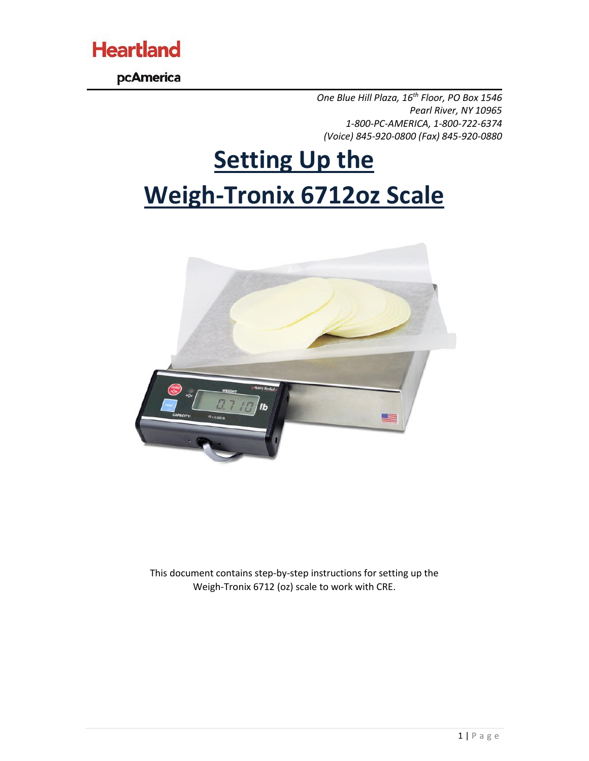

pcAmerica

*One Blue Hill Plaza, 16th Floor, PO Box 1546 Pearl River, NY 10965 1-800-PC-AMERICA, 1-800-722-6374 (Voice) 845-920-0800 (Fax) 845-920-0880*

## **Setting Up the Weigh-Tronix 6712oz Scale**



This document contains step-by-step instructions for setting up the Weigh-Tronix 6712 (oz) scale to work with CRE.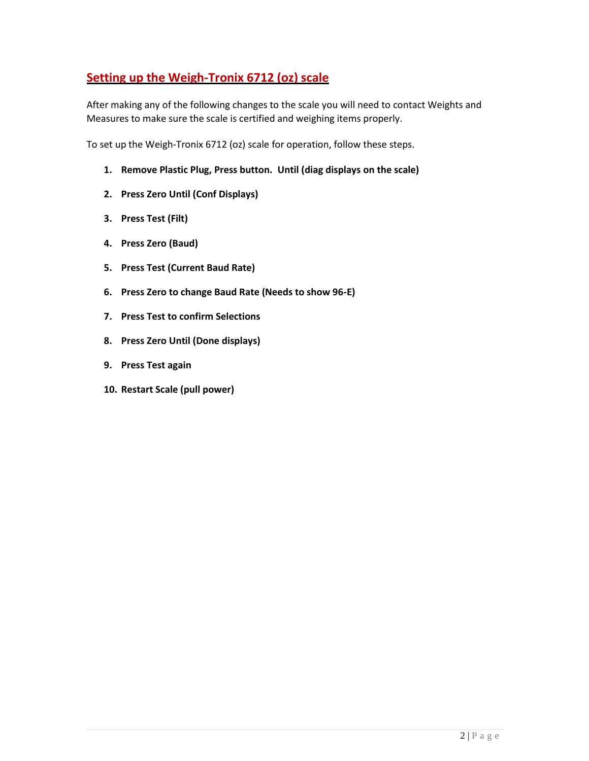## **Setting up the Weigh-Tronix 6712 (oz) scale**

After making any of the following changes to the scale you will need to contact Weights and Measures to make sure the scale is certified and weighing items properly.

To set up the Weigh-Tronix 6712 (oz) scale for operation, follow these steps.

- **1. Remove Plastic Plug, Press button. Until (diag displays on the scale)**
- **2. Press Zero Until (Conf Displays)**
- **3. Press Test (Filt)**
- **4. Press Zero (Baud)**
- **5. Press Test (Current Baud Rate)**
- **6. Press Zero to change Baud Rate (Needs to show 96-E)**
- **7. Press Test to confirm Selections**
- **8. Press Zero Until (Done displays)**
- **9. Press Test again**
- **10. Restart Scale (pull power)**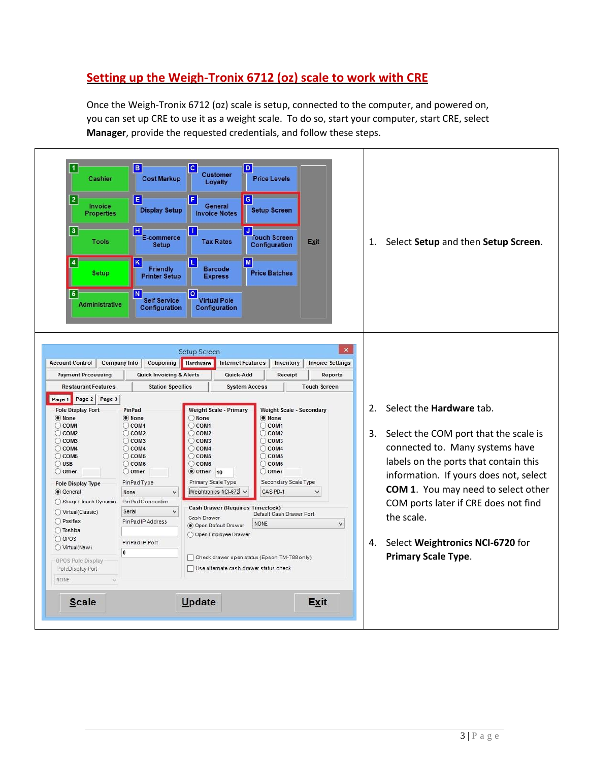## **Setting up the Weigh-Tronix 6712 (oz) scale to work with CRE**

Once the Weigh-Tronix 6712 (oz) scale is setup, connected to the computer, and powered on, you can set up CRE to use it as a weight scale. To do so, start your computer, start CRE, select **Manager**, provide the requested credentials, and follow these steps.